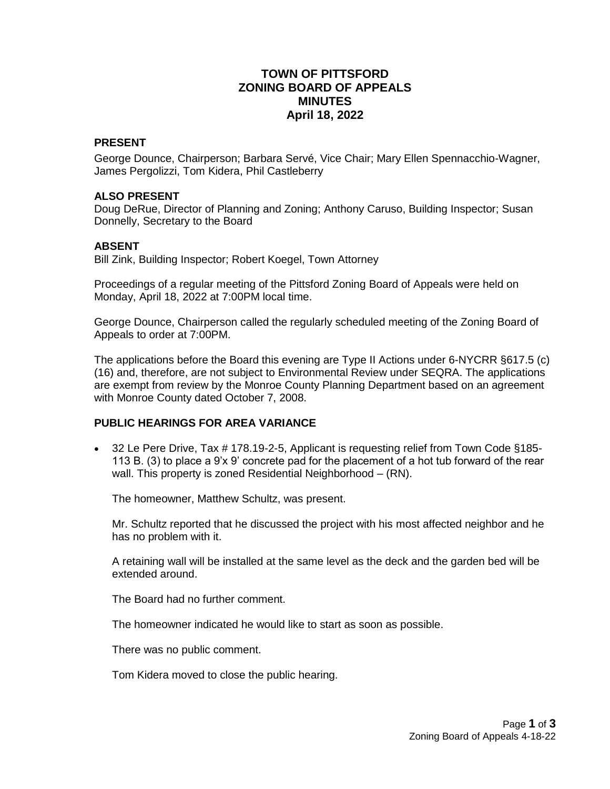# **TOWN OF PITTSFORD ZONING BOARD OF APPEALS MINUTES April 18, 2022**

#### **PRESENT**

George Dounce, Chairperson; Barbara Servé, Vice Chair; Mary Ellen Spennacchio-Wagner, James Pergolizzi, Tom Kidera, Phil Castleberry

#### **ALSO PRESENT**

Doug DeRue, Director of Planning and Zoning; Anthony Caruso, Building Inspector; Susan Donnelly, Secretary to the Board

#### **ABSENT**

Bill Zink, Building Inspector; Robert Koegel, Town Attorney

Proceedings of a regular meeting of the Pittsford Zoning Board of Appeals were held on Monday, April 18, 2022 at 7:00PM local time.

George Dounce, Chairperson called the regularly scheduled meeting of the Zoning Board of Appeals to order at 7:00PM.

The applications before the Board this evening are Type II Actions under 6-NYCRR §617.5 (c) (16) and, therefore, are not subject to Environmental Review under SEQRA. The applications are exempt from review by the Monroe County Planning Department based on an agreement with Monroe County dated October 7, 2008.

### **PUBLIC HEARINGS FOR AREA VARIANCE**

• 32 Le Pere Drive, Tax # 178.19-2-5, Applicant is requesting relief from Town Code §185-113 B. (3) to place a 9'x 9' concrete pad for the placement of a hot tub forward of the rear wall. This property is zoned Residential Neighborhood – (RN).

The homeowner, Matthew Schultz, was present.

Mr. Schultz reported that he discussed the project with his most affected neighbor and he has no problem with it.

A retaining wall will be installed at the same level as the deck and the garden bed will be extended around.

The Board had no further comment.

The homeowner indicated he would like to start as soon as possible.

There was no public comment.

Tom Kidera moved to close the public hearing.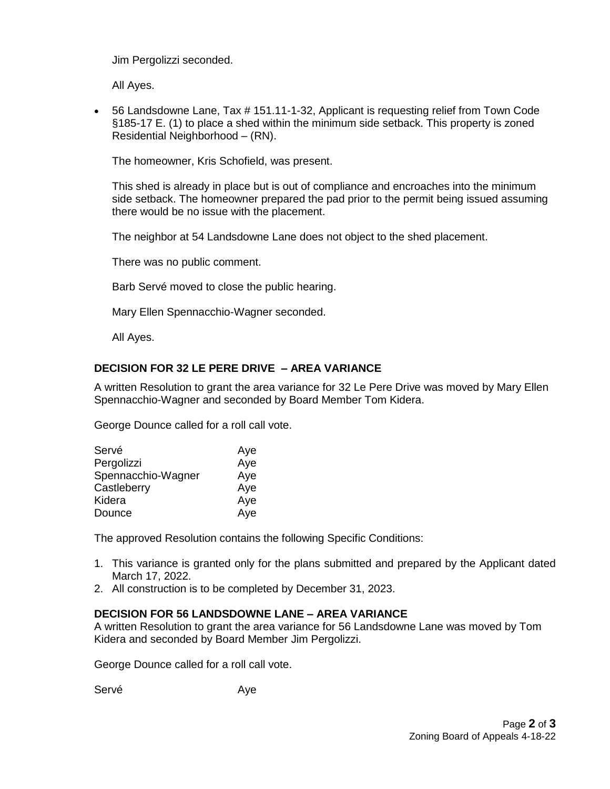Jim Pergolizzi seconded.

All Ayes.

 56 Landsdowne Lane, Tax # 151.11-1-32, Applicant is requesting relief from Town Code §185-17 E. (1) to place a shed within the minimum side setback. This property is zoned Residential Neighborhood – (RN).

The homeowner, Kris Schofield, was present.

This shed is already in place but is out of compliance and encroaches into the minimum side setback. The homeowner prepared the pad prior to the permit being issued assuming there would be no issue with the placement.

The neighbor at 54 Landsdowne Lane does not object to the shed placement.

There was no public comment.

Barb Servé moved to close the public hearing.

Mary Ellen Spennacchio-Wagner seconded.

All Ayes.

## **DECISION FOR 32 LE PERE DRIVE – AREA VARIANCE**

A written Resolution to grant the area variance for 32 Le Pere Drive was moved by Mary Ellen Spennacchio-Wagner and seconded by Board Member Tom Kidera.

George Dounce called for a roll call vote.

| Servé              | Aye |
|--------------------|-----|
| Pergolizzi         | Aye |
| Spennacchio-Wagner | Aye |
| Castleberry        | Aye |
| Kidera             | Aye |
| Dounce             | Aye |

The approved Resolution contains the following Specific Conditions:

- 1. This variance is granted only for the plans submitted and prepared by the Applicant dated March 17, 2022.
- 2. All construction is to be completed by December 31, 2023.

### **DECISION FOR 56 LANDSDOWNE LANE – AREA VARIANCE**

A written Resolution to grant the area variance for 56 Landsdowne Lane was moved by Tom Kidera and seconded by Board Member Jim Pergolizzi.

George Dounce called for a roll call vote.

Servé Aye